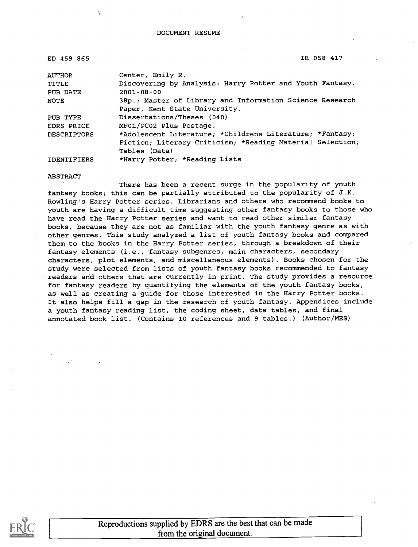| ED 459 865         | IR 058 417                                                |
|--------------------|-----------------------------------------------------------|
| <b>AUTHOR</b>      | Center, Emily R.                                          |
| TITLE              | Discovering by Analysis: Harry Potter and Youth Fantasy.  |
| PUB DATE           | $2001 - 08 - 00$                                          |
| NOTE               | 38p.; Master of Library and Information Science Research  |
|                    | Paper, Kent State University.                             |
| PUB TYPE           | Dissertations/Theses (040)                                |
| EDRS PRICE         | MF01/PC02 Plus Postage.                                   |
| <b>DESCRIPTORS</b> | *Adolescent Literature; *Childrens Literature; *Fantasy;  |
|                    | Fiction; Literary Criticism; *Reading Material Selection; |
|                    | Tables (Data)                                             |
| <b>IDENTIFIERS</b> | *Harry Potter; *Reading Lists                             |

#### ABSTRACT

 $\mathbf{I}$ 

There has been a recent surge in the popularity of youth fantasy books; this can be partially attributed to the popularity of J.K. Rowling's Harry Potter series. Librarians and others who recommend books to youth are having a difficult time suggesting other fantasy books to those who have read the Harry Potter series and want to read other similar fantasy books, because they are not as familiar with the youth fantasy genre as with other genres. This study analyzed a list of youth fantasy books and compared them to the books in the Harry Potter series, through a breakdown of their fantasy elements (i.e., fantasy subgenres, main characters, secondary characters, plot elements, and miscellaneous elements) . Books chosen for the study were selected from lists of youth fantasy books recommended to fantasy readers and others that are currently in print. The study provides a resource for fantasy readers by quantifying the elements of the youth fantasy books, as well as creating a guide for those interested in the Harry Potter books. It also helps fill a gap in the research of youth fantasy. Appendices include a youth fantasy reading list, the coding sheet, data tables, and final annotated book list. (Contains 10 references and 9 tables.) (Author/MES)



Reproductions supplied by EDRS are the best that can be made from the original document.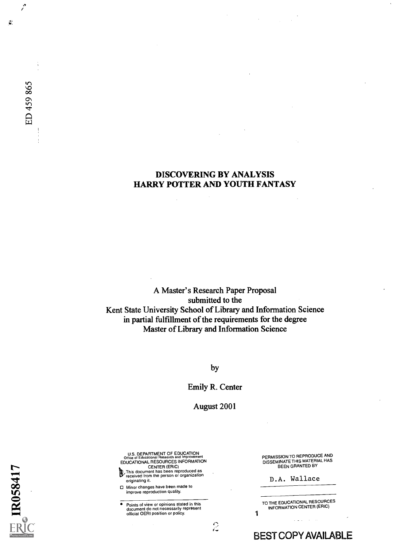## DISCOVERING BY ANALYSIS HARRY POTTER AND YOUTH FANTASY

A Master's Research Paper Proposal submitted to the Kent State University School of Library and Information Science in partial fulfillment of the requirements for the degree Master of Library and Information Science

by

Emily R. Center

August 2001

 $\frac{1}{\sqrt{2}}$ 

U.S. DEPARTMENT OF EDUCATION Office of Educational Research and Improvement EDUCATIONAL RESOURCES INFORMATION

CENTER (ERIC)<br>
This document has been reproduced as<br> *V* received from the person or organization<br>
originating it.

0 Minor changes have been made to improve reproduction quality.

 $\bullet$ Points of view or opinions stated in this document do not necessarily represent official OERI position or policy. PERMISSION TO REPRODUCE AND DISSEMINATE THIS MATERIAL HAS BEEN GRANTED BY

D.A. Wallace

TO THE EDUCATIONAL RESOURCES INFORMATION CENTER (ERIC) 1

BEST COPY AVAILABLE

IR058417

Ž

ED 459 865

 $\vec{y}^i_i$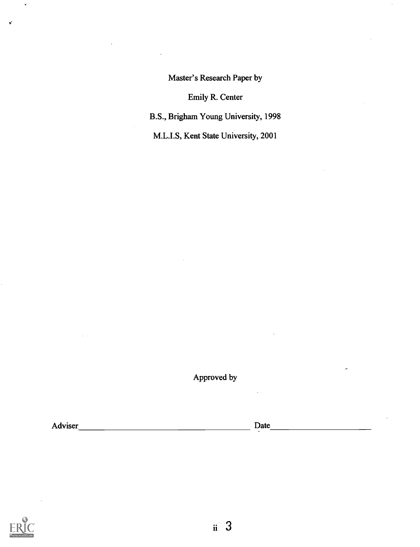Master's Research Paper by

Emily R. Center

B.S., Brigham Young University, 1998

M.L.I.S, Kent State University, 2001

Approved by

Adviser Date



¢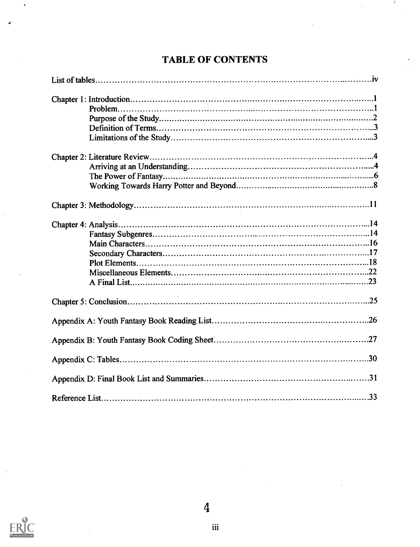# TABLE OF CONTENTS

 $\overline{1}$ 

 $\hat{\mathcal{A}}$ 

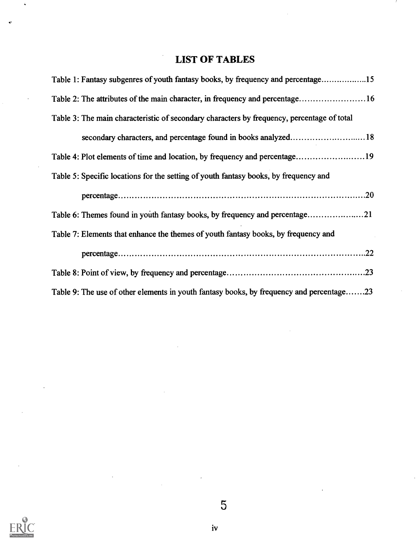# LIST OF TABLES

| Table 1: Fantasy subgenres of youth fantasy books, by frequency and percentage15           |  |
|--------------------------------------------------------------------------------------------|--|
| Table 2: The attributes of the main character, in frequency and percentage16               |  |
| Table 3: The main characteristic of secondary characters by frequency, percentage of total |  |
| secondary characters, and percentage found in books analyzed18                             |  |
|                                                                                            |  |
| Table 5: Specific locations for the setting of youth fantasy books, by frequency and       |  |
|                                                                                            |  |
| Table 6: Themes found in youth fantasy books, by frequency and percentage21                |  |
| Table 7: Elements that enhance the themes of youth fantasy books, by frequency and         |  |
|                                                                                            |  |
|                                                                                            |  |
| Table 9: The use of other elements in youth fantasy books, by frequency and percentage23   |  |



5

 $\overline{a}$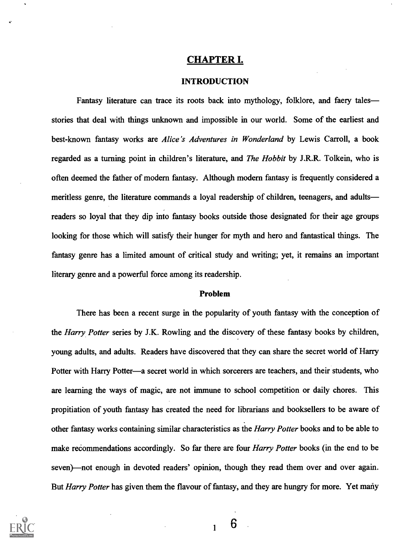## CHAPTER I.

#### INTRODUCTION

Fantasy literature can trace its roots back into mythology, folklore, and faery tales stories that deal with things unknown and impossible in our world. Some of the earliest and best-known fantasy works are Alice's Adventures in Wonderland by Lewis Carroll, a book regarded as a turning point in children's literature, and *The Hobbit* by J.R.R. Tolkein, who is often deemed the father of modern fantasy. Although modern fantasy is frequently considered a meritless genre, the literature commands a loyal readership of children, teenagers, and adults readers so loyal that they dip into fantasy books outside those designated for their age groups looking for those which will satisfy their hunger for myth and hero and fantastical things. The fantasy genre has a limited amount of critical study and writing; yet, it remains an important literary genre and a powerful force among its readership.

#### Problem

There has been a recent surge in the popularity of youth fantasy with the conception of the *Harry Potter* series by J.K. Rowling and the discovery of these fantasy books by children, young adults, and adults. Readers have discovered that they can share the secret world of Harry Potter with Harry Potter—a secret world in which sorcerers are teachers, and their students, who are learning the ways of magic, are not immune to school competition or daily chores. This propitiation of youth fantasy has created the need for librarians and booksellers to be aware of other fantasy works containing similar characteristics as the Harry Potter books and to be able to make recommendations accordingly. So far there are four *Harry Potter* books (in the end to be seven)—not enough in devoted readers' opinion, though they read them over and over again. But *Harry Potter* has given them the flavour of fantasy, and they are hungry for more. Yet many



6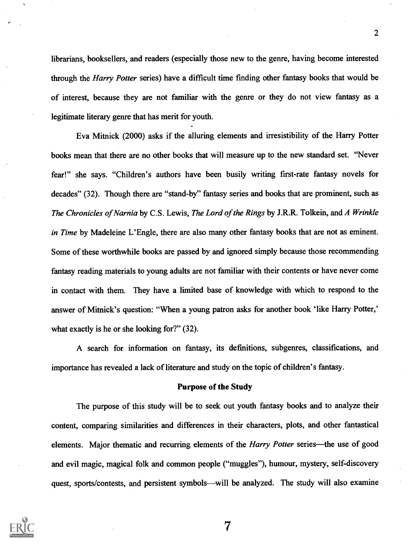librarians, booksellers, and readers (especially those new to the genre, having become interested through the Harry Potter series) have a difficult time finding other fantasy books that would be of interest, because they are not familiar with the genre or they do not view fantasy as a legitimate literary genre that has merit for youth.

Eva Mitnick (2000) asks if the alluring elements and irresistibility of the Harry Potter books mean that there are no other books that will measure up to the new standard set. "Never fear!" she says. "Children's authors have been busily writing first-rate fantasy novels for decades" (32). Though there are "stand-by" fantasy series and books that are prominent, such as The Chronicles of Narnia by C.S. Lewis, The Lord of the Rings by J.R.R. Tolkein, and A Wrinkle in Time by Madeleine L'Engle, there are also many other fantasy books that are not as eminent. Some of these worthwhile books are passed by and ignored simply because those recommending fantasy reading materials to young adults are not familiar with their contents or have never come in contact with them. They have a limited base of knowledge with which to respond to the answer of Mitnick's question: "When a young patron asks for another book 'like Harry Potter,' what exactly is he or she looking for?" (32).

A search for information on fantasy, its defmitions, subgenres, classifications, and importance has revealed a lack of literature and study on the topic of children's fantasy.

#### Purpose of the Study

The purpose of this study will be to seek out youth fantasy books and to analyze their content, comparing similarities and differences in their characters, plots, and other fantastical elements. Major thematic and recurring elements of the *Harry Potter* series—the use of good and evil magic, magical folk and common people ("muggles"), humour, mystery, self-discovery quest, sports/contests, and persistent symbols—will be analyzed. The study will also examine



7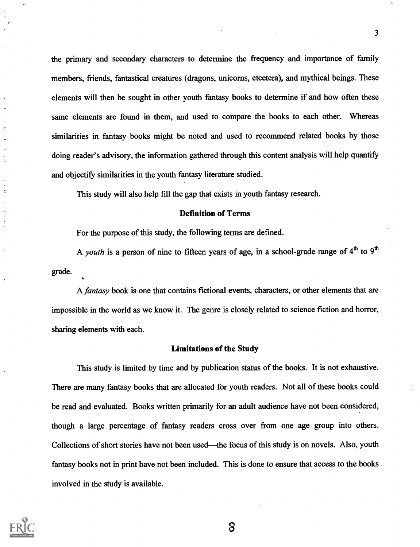the primary and secondary characters to determine the frequency and importance of family members, friends, fantastical creatures (dragons, unicorns, etcetera), and mythical beings. These elements will then be sought in other youth fantasy books to determine if and how often these same elements are found in them, and used to compare the books to each other. Whereas similarities in fantasy books might be noted and used to recommend related books by those doing reader's advisory, the information gathered through this content analysis will help quantify and objectify similarities in the youth fantasy literature studied.

This study will also help fill the gap that exists in youth fantasy research.

#### Definition of Terms

For the purpose of this study, the following terms are defined.

A youth is a person of nine to fifteen years of age, in a school-grade range of  $4<sup>th</sup>$  to  $9<sup>th</sup>$ grade.

A fantasy book is one that contains fictional events, characters, or other elements that are impossible in the world as we know it. The genre is closely related to science fiction and horror, sharing elements with each.

#### Limitations of the Study

This study is limited by time and by publication status of the books. It is not exhaustive. There are many fantasy books that are allocated for youth readers. Not all of these books could be read and evaluated. Books written primarily for an adult audience have not been considered, though a large percentage of fantasy readers cross over from one age group into others. Collections of short stories have not been used—the focus of this study is on novels. Also, youth fantasy books not in print have not been included. This is done to ensure that access to the books involved in the study is available.



Ė

 $\vdots$  $\frac{1}{2}$ 

8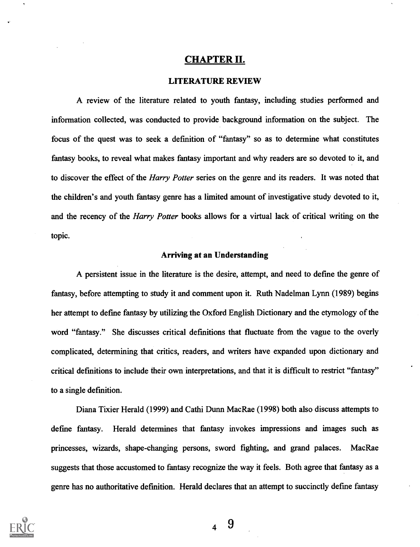## CHAPTER II.

#### LITERATURE REVIEW

A review of the literature related to youth fantasy, including studies performed and information collected, was conducted to provide background information on the subject. The focus of the quest was to seek a defmition of "fantasy" so as to determine what constitutes fantasy books, to reveal what makes fantasy important and why readers are so devoted to it, and to discover the effect of the *Harry Potter* series on the genre and its readers. It was noted that the children's and youth fantasy genre has a limited amount of investigative study devoted to it, and the recency of the *Harry Potter* books allows for a virtual lack of critical writing on the topic.

#### Arriving at an Understanding

A persistent issue in the literature is the desire, attempt, and need to defme the genre of fantasy, before attempting to study it and comment upon it. Ruth Nadelman Lynn (1989) begins her attempt to defme fantasy by utilizing the Oxford English Dictionary and the etymology of the word "fantasy." She discusses critical definitions that fluctuate from the vague to the overly complicated, determining that critics, readers, and writers have expanded upon dictionary and critical defmitions to include their own interpretations, and that it is difficult to restrict "fantasy" to a single defmition.

Diana Tixier Herald (1999) and Cathi Dunn MacRae (1998) both also discuss attempts to defme fantasy. Herald determines that fantasy invokes impressions and images such as princesses, wizards, shape-changing persons, sword fighting, and grand palaces. MacRae suggests that those accustomed to fantasy recognize the way it feels. Both agree that fantasy as a genre has no authoritative defmition. Herald declares that an attempt to succinctly defme fantasy

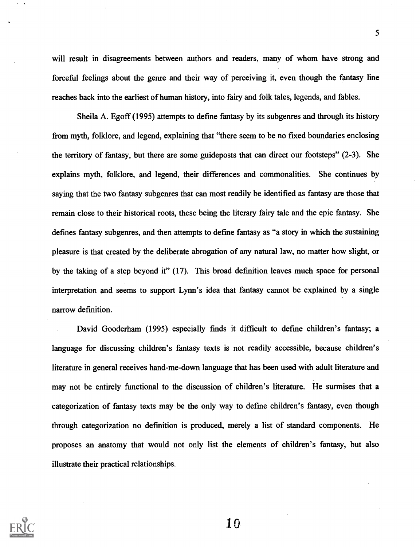will result in disagreements between authors and readers, many of whom have strong and forceful feelings about the genre and their way of perceiving it, even though the fantasy line reaches back into the earliest of human history, into fairy and folk tales, legends, and fables.

Sheila A. Egoff (1995) attempts to defme fantasy by its subgenres and through its history from myth, folldore, and legend, explaining that "there seem to be no fixed boundaries enclosing the territory of fantasy, but there are some guideposts that can direct our footsteps" (2-3). She explains myth, folldore, and legend, their differences and commonalities. She continues by saying that the two fantasy subgenres that can most readily be identified as fantasy are those that remain close to their historical roots, these being the literary fairy tale and the epic fantasy. She defmes fantasy subgenres, and then attempts to defme fantasy as "a story in which the sustaining pleasure is that created by the deliberate abrogation of any natural law, no matter how slight, or by the taking of a step beyond it" (17). This broad defmition leaves much space for personal interpretation and seems to support Lynn's idea that fantasy cannot be explained by a single narrow defmition.

David Gooderham (1995) especially fmds it difficult to defme children's fantasy; a language for discussing children's fantasy texts is not readily accessible, because children's literature in general receives hand-me-down language that has been used with adult literature and may not be entirely functional to the discussion of children's literature. He surmises that a categorization of fantasy texts may be the only way to define children's fantasy, even though through categorization no defmition is produced, merely a list of standard components. He proposes an anatomy that would not only list the elements of children's fantasy, but also illustrate their practical relationships.



 $1<sub>0</sub>$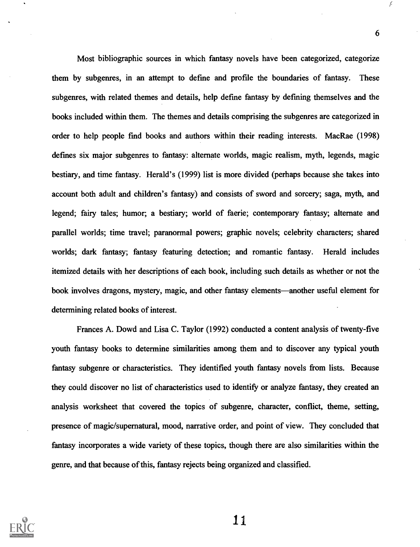Most bibliographic sources in which fantasy novels have been categorized, categorize them by subgenres, in an attempt to defme and profile the boundaries of fantasy. These subgenres, with related themes and details, help defme fantasy by defming themselves and the books included within them. The themes and details comprising the subgenres are categorized in order to help people fmd books and authors within their reading interests. MacRae (1998) defmes six major subgenres to fantasy: alternate worlds, magic realism, myth, legends, magic bestiary, and time fantasy. Herald's (1999) list is more divided (perhaps because she takes into account both adult and children's fantasy) and consists of sword and sorcery; saga, myth, and legend; fairy tales; humor; a bestiary; world of faerie; contemporary fantasy; alternate and parallel worlds; time travel; paranormal powers; graphic novels; celebrity characters; shared worlds; dark fantasy; fantasy featuring detection; and romantic fantasy. Herald includes itemized details with her descriptions of each book, including such details as whether or not the book involves dragons, mystery, magic, and other fantasy elements—another useful element for determining related books of interest.

Frances A. Dowd and Lisa C. Taylor (1992) conducted a content analysis of twenty-five youth fantasy books to determine similarities among them and to discover any typical youth fantasy subgenre or characteristics. They identified youth fantasy novels from lists. Because they could discover no list of characteristics used to identify or analyze fantasy, they created an analysis worksheet that covered the topics of subgenre, character, conflict, theme, setting, presence of magic/supernatural, mood, narrative order, and point of view. They concluded that fantasy incorporates a wide variety of these topics, though there are also similarities within the genre, and that because of this, fantasy rejects being organized and classified.



1 1

f.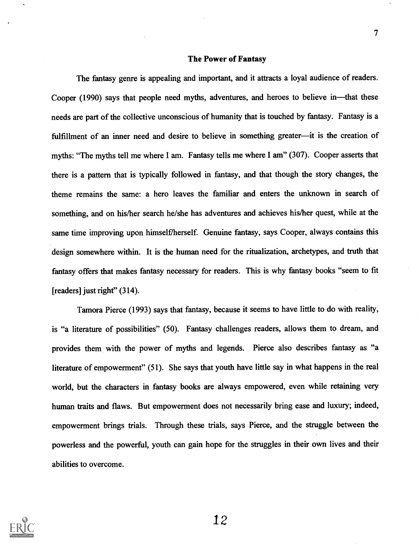#### The Power of Fantasy

The fantasy genre is appealing and important, and it attracts a loyal audience of readers. Cooper (1990) says that people need myths, adventures, and heroes to believe in—that these needs are part of the collective unconscious of humanity that is touched by fantasy. Fantasy is a fulfillment of an inner need and desire to believe in something greater—it is the creation of myths: "The myths tell me where I am. Fantasy tells me where I am" (307). Cooper asserts that there is a pattern that is typically followed in fantasy, and that though the story changes, the theme remains the same: a hero leaves the familiar and enters the unknown in search of something, and on his/her search he/she has adventures and achieves his/her quest, while at the same time improving upon himself/herself. Genuine fantasy, says Cooper, always contains this design somewhere within. It is the human need for the ritualization, archetypes, and truth that fantasy offers that makes fantasy necessary for readers. This is why fantasy books "seem to fit [readers] just right" (314).

Tamora Pierce (1993) says that fantasy, because it seems to have little to do with reality, is "a literature of possibilities" (50). Fantasy challenges readers, allows them to dream, and provides them with the power of myths and legends. Pierce also describes fantasy as "a literature of empowerment" (51). She says that youth have little say in what happens in the real world, but the characters in fantasy books are always empowered, even while retaining very human traits and flaws. But empowerment does not necessarily bring ease and luxury; indeed, empowerment brings trials. Through these trials, says Pierce, and the struggle between the powerless and the powerful, youth can gain hope for the struggles in their own lives and their abilities to overcome.

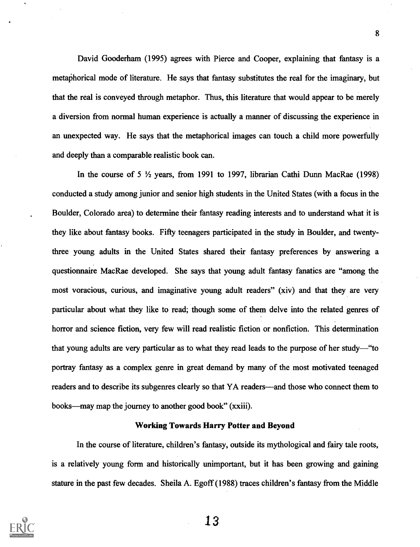David Gooderham (1995) agrees with Pierce and Cooper, explaining that fantasy is a metaphorical mode of literature. He says that fantasy substitutes the real for the imaginary, but that the real is conveyed through metaphor. Thus, this literature that would appear to be merely a diversion from normal human experience is actually a manner of discussing the experience in an unexpected way. He says that the metaphorical images can touch a child more powerfully and deeply than a comparable realistic book can.

8

In the course of 5  $\frac{1}{2}$  years, from 1991 to 1997, librarian Cathi Dunn MacRae (1998) conducted a study among junior and senior high students in the United States (with a focus in the Boulder, Colorado area) to determine their fantasy reading interests and to understand what it is they like about fantasy books. Fifty teenagers participated in the study in Boulder, and twentythree young adults in the United States shared their fantasy preferences by answering a questionnaire MacRae developed. She says that young adult fantasy fanatics are "among the most voracious, curious, and imaginative young adult readers" (xiv) and that they are very particular about what they like to read; though some of them delve into the related genres of horror and science fiction, very few will read realistic fiction or nonfiction. This determination that young adults are very particular as to what they read leads to the purpose of her study—"to portray fantasy as a complex genre in great demand by many of the most motivated teenaged readers and to describe its subgenres clearly so that YA readers—and those who connect them to books—may map the journey to another good book" (xxiii).

#### Working Towards Harry Potter and Beyond

In the course of literature, children's fantasy, outside its mythological and fairy tale roots, is a relatively young form and historically unimportant, but it has been growing and gaining stature in the past few decades. Sheila A. Egoff (1988) traces children's fantasy from the Middle

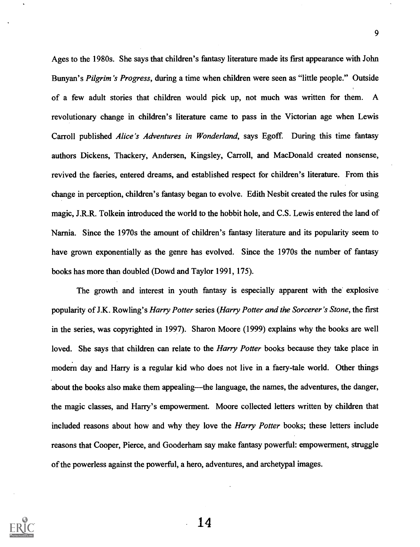Ages to the 1980s. She says that children's fantasy literature made its first appearance with John Bunyan's Pilgrim's Progress, during a time when children were seen as "little people." Outside of a few adult stories that children would pick up, not much was written for them. A revolutionary change in children's literature came to pass in the Victorian age when Lewis Carroll published Alice's Adventures in Wonderland, says Egoff. During this time fantasy authors Dickens, Thackery, Andersen, Kingsley, Carroll, and MacDonald created nonsense, revived the faeries, entered dreams, and established respect for children's literature. From this change in perception, children's fantasy began to evolve. Edith Nesbit created the rules for using magic, J.R.R. Tolkein introduced the world to the hobbit hole, and C.S. Lewis entered the land of Narnia. Since the 1970s the amount of children's fantasy literature and its popularity seem to have grown exponentially as the genre has evolved. Since the 1970s the number of fantasy books has more than doubled (Dowd and Taylor 1991, 175).

The growth and interest in youth fantasy is especially apparent with the explosive popularity of J.K. Rowling's *Harry Potter series (Harry Potter and the Sorcerer's Stone*, the first in the series, was copyrighted in 1997). Sharon Moore (1999) explains why the books are well loved. She says that children can relate to the *Harry Potter* books because they take place in modern day and Harry is a regular kid who does not live in a faery-tale world. Other things about the books also make them appealing—the language, the names, the adventures, the danger, the magic classes, and Harry's empowerment. Moore collected letters written by children that included reasons about how and why they love the *Harry Potter* books; these letters include reasons that Cooper, Pierce, and Gooderham say make fantasy powerful: empowerment, struggle of the powerless against the powerful, a hero, adventures, and archetypal images.

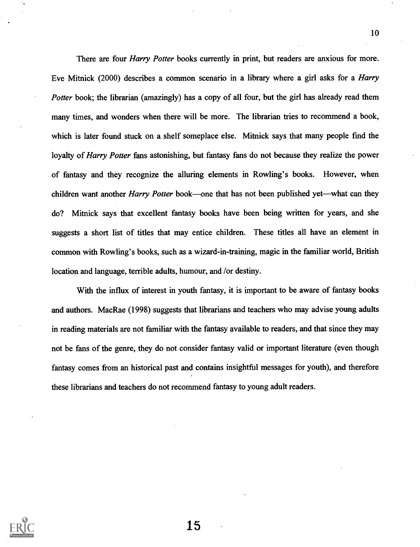There are four *Harry Potter* books currently in print, but readers are anxious for more. Eve Mitnick (2000) describes a common scenario in a library where a girl asks for a Harry Potter book; the librarian (amazingly) has a copy of all four, but the girl has already read them many times, and wonders when there will be more. The librarian tries to recommend a book, which is later found stuck on a shelf someplace else. Mitnick says that many people fmd the loyalty of *Harry Potter* fans astonishing, but fantasy fans do not because they realize the power of fantasy and they recognize the alluring elements in Rowling's books. However, when children want another *Harry Potter* book—one that has not been published yet—what can they do? Mithick says that excellent fantasy books have been being written for years, and she suggests a short list of titles that may entice children. These titles all have an element in common with Rowling's books, such as a wizard-in-training, magic in the familiar world, British location and language, terrible adults, humour, and /or destiny.

With the influx of interest in youth fantasy, it is important to be aware of fantasy books and authors. MacRae (1998) suggests that librarians and teachers who may advise young adults in reading materials are not familiar with the fantasy available to readers, and that since they may not be fans of the genre, they do not consider fantasy valid or important literature (even though fantasy comes from an historical past and contains insightful messages for youth), and therefore these librarians and teachers do not recommend fantasy to young adult readers.



15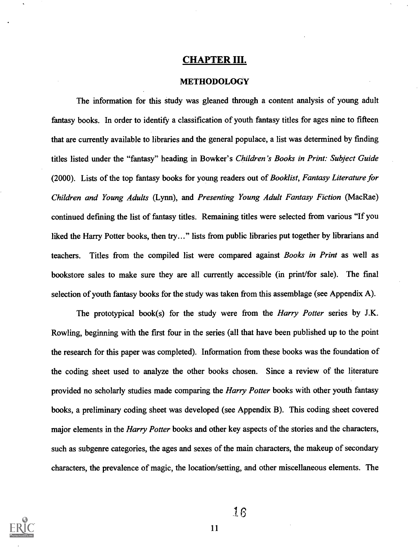#### CHAPTER III.

#### METHODOLOGY

The information for this study was gleaned through a content analysis of young adult fantasy books. In order to identify a classification of youth fantasy titles for ages nine to fifteen that are currently available to libraries and the general populace, a list was determined by finding titles listed under the "fantasy" heading in Bowker's Children's Books in Print: Subject Guide (2000). Lists of the top fantasy books for young readers out of Booklist, Fantasy Literature for Children and Young Adults (Lynn), and Presenting Young Adult Fantasy Fiction (MacRae) continued defming the list of fantasy titles. Remaining titles were selected from various "If you liked the Harry Potter books, then try..." lists from public libraries put together by librarians and teachers. Titles from the compiled list were compared against Books in Print as well as bookstore sales to make sure they are all currently accessible (in print/for sale). The fmal selection of youth fantasy books for the study was taken from this assemblage (see Appendix A).

The prototypical book(s) for the study were from the *Harry Potter* series by J.K. Rowling, beginning with the first four in the series (all that have been published up to the point the research for this paper was completed). Information from these books was the foundation of the coding sheet used to analyze the other books chosen. Since a review of the literature provided no scholarly studies made comparing the *Harry Potter* books with other youth fantasy books, a preliminary coding sheet was developed (see Appendix B). This coding sheet covered major elements in the *Harry Potter* books and other key aspects of the stories and the characters, such as subgenre categories, the ages and sexes of the main characters, the makeup of secondary characters, the prevalence of magic, the location/setting, and other miscellaneous elements. The

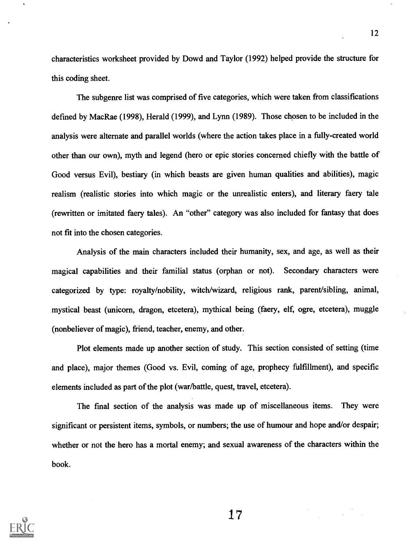characteristics worksheet provided by Dowd and Taylor (1992) helped provide the structure for this coding sheet.

The subgenre list was comprised of five categories, which were taken from classifications defmed by MacRae (1998), Herald (1999), and Lynn (1989). Those chosen to be included in the analysis were alternate and parallel worlds (where the action takes place in a fully-created world other than our own), myth and legend (hero or epic stories concerned chiefly with the battle of Good versus Evil), bestiary (in which beasts are given human qualities and abilities), magic realism (realistic stories into which magic or the unrealistic enters), and literary faery tale (rewritten or imitated faery tales). An "other" category was also included for fantasy that does not fit into the chosen categories.

Analysis of the main characters included their humanity, sex, and age, as well as their magical capabilities and their familial status (orphan or not). Secondary characters were categorized by type: royalty/nobility, witch/wizard, religious rank, parent/sibling, animal, mystical beast (unicorn, dragon, etcetera), mythical being (faery, elf, ogre, etcetera), muggle (nonbeliever of magic), friend, teacher, enemy, and other.

Plot elements made up another section of study. This section consisted of setting (time and place), major themes (Good vs. Evil, coming of age, prophecy fulfillment), and specific elements included as part of the plot (war/battle, quest, travel, etcetera).

The fmal section of the analysis was made up of miscellaneous items. They were significant or persistent items, symbols, or numbers; the use of humour and hope and/or despair; whether or not the hero has a mortal enemy; and sexual awareness of the characters within the book.

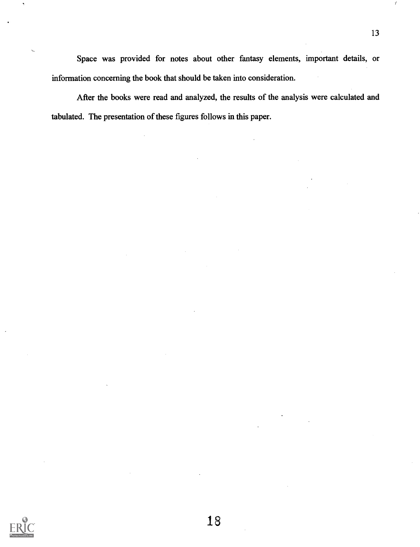Space was provided for notes about other fantasy elements, important details, or information concerning the book that should be taken into consideration.

After the books were read and analyzed, the results of the analysis were calculated and tabulated. The presentation of these figures follows in this paper.

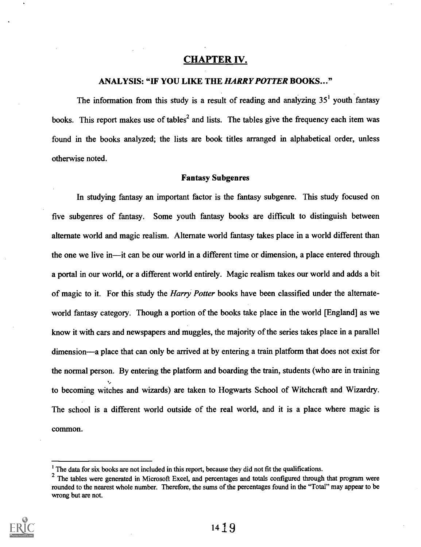## CHAPTER IV.

#### ANALYSIS: "IF YOU LIKE THE HARRY POTTER BOOKS..."

The information from this study is a result of reading and analyzing  $35<sup>1</sup>$  youth fantasy books. This report makes use of tables<sup>2</sup> and lists. The tables give the frequency each item was found in the books analyzed; the lists are book titles arranged in alphabetical order, unless otherwise noted.

#### **Fantasy Subgenres**

In studying fantasy an important factor is the fantasy subgenre. This study focused on five subgenres of fantasy. Some youth fantasy books are difficult to distinguish between alternate world and magic realism. Alternate world fantasy takes place in a world different than the one we live in—it can be our world in a different time or dimension, a place entered through a portal in our world, or a different world entirely. Magic realism takes our world and adds a bit of magic to it. For this study the *Harry Potter* books have been classified under the alternateworld fantasy category. Though a portion of the books take place in the world [England] as we know it with cars and newspapers and muggles, the majority of the series takes place in a parallel dimension—a place that can only be arrived at by entering a train platform that does not exist for the normal person. By entering the platform and boarding the train, students (who are in training to becoming witches and wizards) are taken to Hogwarts School of Witchcraft and Wizardry. The school is a different world outside of the real world, and it is a place where magic is common.

 $2$  The tables were generated in Microsoft Excel, and percentages and totals configured through that program were rounded to the nearest whole number. Therefore, the sums of the percentages found in the "Total" may appear to be wrong but are not.



<sup>&</sup>lt;sup>1</sup> The data for six books are not included in this report, because they did not fit the qualifications.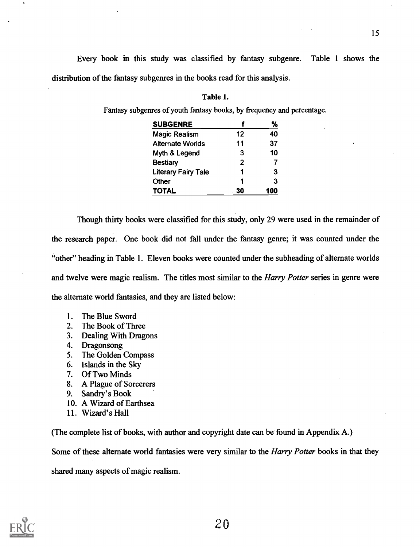Every book in this study was classified by fantasy subgenre. Table 1 shows the distribution of the fantasy subgenres in the books read for this analysis.

#### Table 1.

Fantasy subgenres of youth fantasy books, by frequency and percentage.

| <b>SUBGENRE</b>            |    | %   |
|----------------------------|----|-----|
| <b>Magic Realism</b>       | 12 | 40  |
| <b>Alternate Worlds</b>    | 11 | 37  |
| Myth & Legend              | 3  | 10  |
| <b>Bestiary</b>            | 2  |     |
| <b>Literary Fairy Tale</b> |    | З   |
| Other                      | ٠  | 3   |
| TOTAL                      | 30 | 100 |

Though thirty books were classified for this study, only 29 were used in the remainder of the research paper. One book did not fall under the fantasy genre; it was counted under the "other" heading in Table 1. Eleven books were counted under the subheading of alternate worlds and twelve were magic realism. The titles most similar to the *Harry Potter* series in genre were the alternate world fantasies, and they are listed below:

- 1. The Blue Sword
- 2. The Book of Three
- 3. Dealing With Dragons
- 4. Dragonsong
- 5. The Golden Compass
- 6. Islands in the Sky
- 7. Of Two Minds
- 8. A Plague of Sorcerers
- 9. Sandry's Book
- 10. A Wizard of Earthsea
- 11. Wizard's Hall

(The complete list of books, with author and copyright date can be found in Appendix A.)

Some of these alternate world fantasies were very similar to the *Harry Potter* books in that they

shared many aspects of magic realism.

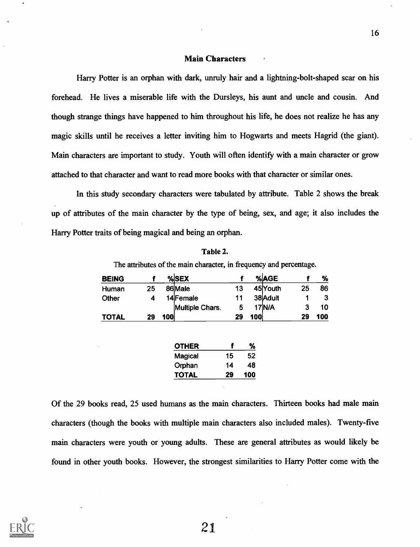#### Main Characters

Harry Potter is an orphan with dark, unruly hair and a lightning-bolt-shaped scar on his forehead. He lives a miserable life with the Dursleys, his aunt and uncle and cousin. And though strange things have happened to him throughout his life, he does not realize he has any magic skills until he receives a letter inviting him to Hogwarts and meets Hagrid (the giant). Main characters are important to study. Youth will often identify with a main character or grow attached to that character and want to read more books with that character or similar ones.

In this study secondary characters were tabulated by attribute. Table 2 shows the break up of attributes of the main character by the type of being, sex, and age; it also includes the Harry Potter traits of being magical and being an orphan.

| Table 2. |  |
|----------|--|
|----------|--|

The attributes of the main character, in frequency and percentage.

| <b>BEING</b> |    |     | %SEX            |    |     | %AGE     |    | %   |
|--------------|----|-----|-----------------|----|-----|----------|----|-----|
| Human        | 25 |     | 86 Male         | 13 |     | 45Youth  | 25 | 86  |
| Other        |    |     | 14 Female       | 11 |     | 38 Adult |    |     |
|              |    |     | Multiple Chars. | 5  |     | 17 N/A   |    | 10  |
| <b>TOTAL</b> | 29 | 100 |                 | 29 | 100 |          | 29 | 100 |

| <b>OTHER</b>   |    | ℅   |
|----------------|----|-----|
| <b>Magical</b> | 15 | 52  |
| Orphan         | 14 | 48  |
| <b>TOTAL</b>   | 29 | 100 |

Of the 29 books read, 25 used humans as the main characters. Thirteen books had male main characters (though the books with multiple main characters also included males). Twenty-five main characters were youth or young adults. These are general attributes as would likely be found in other youth books. However, the strongest similarities to Harry Potter come with the

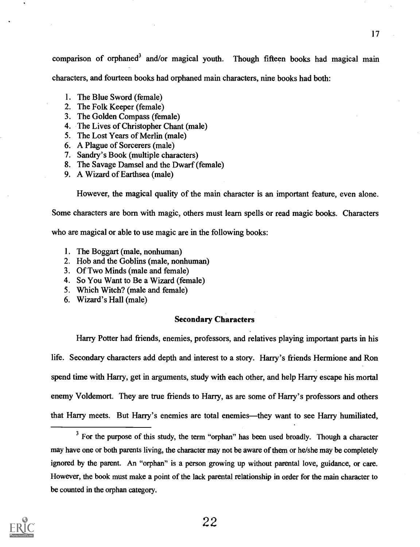comparison of orphaned<sup>3</sup> and/or magical youth. Though fifteen books had magical main characters, and fourteen books had orphaned main characters, nine books had both:

- 1. The Blue Sword (female)
- 2. The Folk Keeper (female)
- 3. The Golden Compass (female)
- 4. The Lives of Christopher Chant (male)
- 5. The Lost Years of Merlin (male)
- 6. A Plague of Sorcerers (male)
- 7. Sandry's Book (multiple characters)
- 8. The Savage Damsel and the Dwarf (female)
- 9. A Wizard of Earthsea (male)

However, the magical quality of the main character is an important feature, even alone.

Some characters are born with magic, others must learn spells or read magic books. Characters

who are magical or able to use magic are in the following books:

- 1. The Boggart (male, nonhuman)
- 2. Hob and the Goblins (male, nonhuman)
- 3. Of Two Minds (male and female)
- 4. So You Want to Be a Wizard (female)
- 5. Which Witch? (male and female)
- 6. Wizard's Hall (male)

#### Secondary Characters

Harry Potter had friends, enemies, professors, and relatives playing important parts in his life. Secondary characters add depth and interest to a story. Hany's friends Hermione and Ron spend time with Harry, get in arguments, study with each other, and help Harry escape his mortal enemy Voldemort. They are true friends to Harry, as are some of Harry's professors and others that Harry meets. But Harry's enemies are total enemies—they want to see Harry humiliated,

 $3$  For the purpose of this study, the term "orphan" has been used broadly. Though a character may have one or both parents living, the character may not be aware of them or he/she may be completely ignored by the parent. An "orphan" is a person growing up without parental love, guidance, or care. However, the book must make a point of the lack parental relationship in order for the main character to be counted in the orphan category.

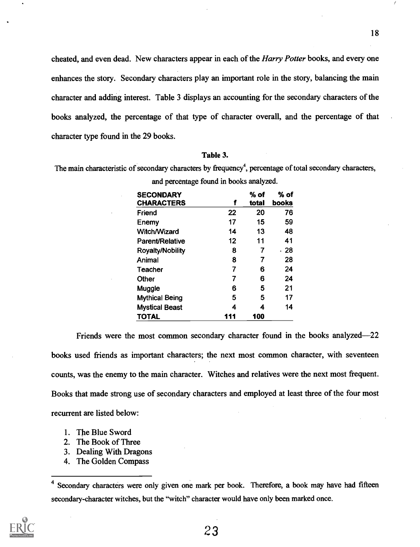cheated, and even dead. New characters appear in each of the Harry Potter books, and every one enhances the story. Secondary characters play an important role in the story, balancing the main character and adding interest. Table 3 displays an accounting for the secondary characters of the books analyzed, the percentage of that type of character overall, and the percentage of that character type found in the 29 books.

#### Table 3.

The main characteristic of secondary characters by frequency<sup>4</sup>, percentage of total secondary characters,

| <b>SECONDARY</b>        |     | $%$ of | % of  |
|-------------------------|-----|--------|-------|
| <b>CHARACTERS</b>       | f   | total  | books |
| Friend                  | 22  | 20     | 76    |
| Enemy                   | 17  | 15     | 59    |
| <b>Witch/Wizard</b>     | 14  | 13     | 48    |
| <b>Parent/Relative</b>  | 12  | 11     | 41    |
| <b>Royalty/Nobility</b> | 8   | 7      | . 28  |
| Animal                  | 8   | 7      | 28    |
| Teacher                 | 7   | 6      | 24    |
| Other                   | 7   | 6      | 24    |
| Muggle                  | 6   | 5      | 21    |
| <b>Mythical Being</b>   | 5   | 5      | 17    |
| <b>Mystical Beast</b>   | 4   | 4      | 14    |
| <b>TOTAL</b>            | 111 | 100    |       |

and percentage found in books analyzed.

Friends were the most common secondary character found in the books analyzed-22 books used friends as important characters; the next most common character, with seventeen counts, was the enemy to the main character. Witches and relatives were the next most frequent. Books that made strong use of secondary characters and employed at least three of the four most recurrent are listed below:

- 1. The Blue Sword
- 2. The Book of Three
- 3. Dealing With Dragons
- 4. The Golden Compass

<sup>&</sup>lt;sup>4</sup> Secondary characters were only given one mark per book. Therefore, a book may have had fifteen secondary-character witches, but the "witch" character would have only been marked once.

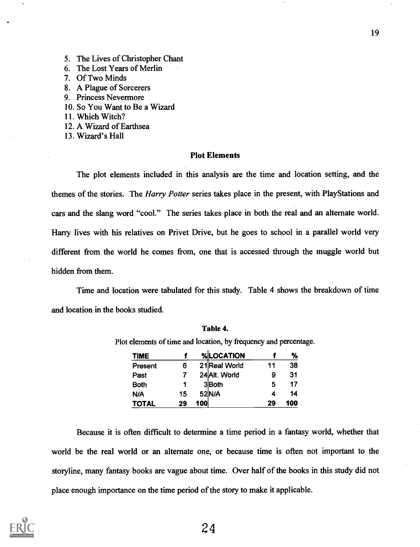- 5. The Lives of Christopher Chant
- 6. The Lost Years of Merlin
- 7. Of Two Minds
- 8. A Plague of Sorcerers
- 9. Princess Nevermore
- 10. So You Want to Be a Wizard
- 11. Which Witch?
- 12. A Wizard of Earthsea
- 13. Wizard's Hall

#### Plot Elements

The plot elements included in this analysis are the time and location setting, and the themes of the stories. The Harry Potter series takes place in the present, with PlayStations and cars and the slang word "cool." The series takes place in both the real and an alternate world. Hany lives with his relatives on Privet Drive, but he goes to school in a parallel world very different from the world he comes from, one that is accessed through the muggle world but hidden from them.

Time and location were tabulated for this study. Table 4 shows the breakdown of time and location in the books studied.

| <b>TIME</b>  |    |     | %LOCATION     |    | ℅   |
|--------------|----|-----|---------------|----|-----|
| Present      | 6  |     | 21 Real World | 11 | 38  |
| Past         |    |     | 24 Alt. World | 9  | 31  |
| <b>Both</b>  |    |     | 3 <b>Both</b> | 5  | 17  |
| N/A          | 15 |     | 52 N/A        |    | 14  |
| <b>TOTAL</b> | 29 | 100 |               | 29 | 100 |

Table 4.

Plot elements of time and location, by frequency and percentage.

Because it is often difficult to determine a time period in a fantasy world, whether that world be the real world or an alternate one, or because time is often not important to the storyline, many fantasy books are vague about time. Over half of the books in this study did not place enough importance on the time period of the story to make it applicable.

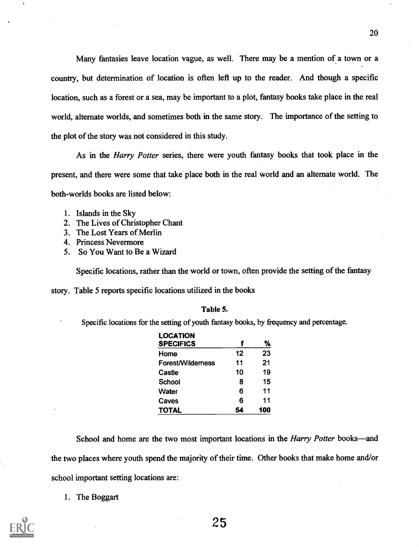Many fantasies leave location vague, as well. There may be a mention of a town or a country, but determination of location is often left up to the reader. And though a specific location, such as a forest or a sea, may be important to a plot, fantasy books take place in the real world, alternate worlds, and sometimes both in the same story. The importance of the setting to the plot of the story was not considered in this study.

As in the *Harry Potter* series, there were youth fantasy books that took place in the present, and there were some that take place both in the real world and an alternate world. The both-worlds books are listed below:

- 1. Islands in the Sky
- 2. The Lives of Christopher Chant
- 3. The Lost Years of Merlin
- 4. Princess Nevermore
- 5. So You Want to Be a Wizard

Specific locations, rather than the world or town, often provide the setting of the fantasy

story. Table 5 reports specific locations utilized in the books

#### Table 5.

Specific locations for the setting of youth fantasy books, by frequency and percentage.

| <b>LOCATION</b><br><b>SPECIFICS</b> |    | %   |
|-------------------------------------|----|-----|
| Home                                | 12 | 23  |
| <b>Forest/Wilderness</b>            | 11 | 21  |
| Castle                              | 10 | 19  |
| School                              | 8  | 15  |
| <b>Water</b>                        | 6  | 11  |
| Caves                               | 6  | 11  |
| <b>TOTAL</b>                        | 54 | 100 |

School and home are the two most important locations in the *Harry Potter* books—and the two places where youth spend the majority of their time. Other books that make home and/or school important setting locations are:

1. The Boggart

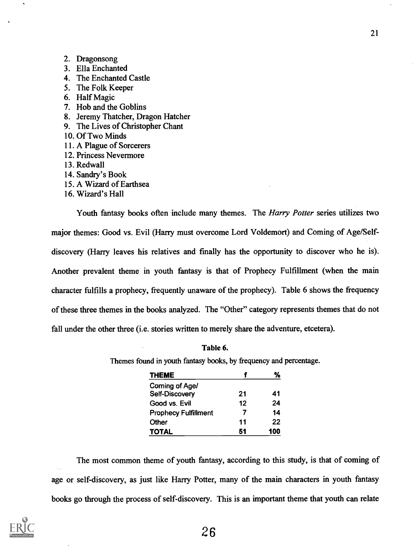- 2. Dragonsong
- 3. Ella Enchanted
- 4. The Enchanted Castle
- 5. The Folk Keeper
- 6. Half Magic
- 7. Hob and the Goblins
- 8. Jeremy Thatcher, Dragon Hatcher
- 9. The Lives of Christopher Chant
- 10. Of Two Minds
- 11. A Plague of Sorcerers
- 12. Princess Nevermore
- 13. Redwall
- 14. Sandry's Book
- 15. A Wizard of Earthsea
- 16. Wizard's Hall

Youth fantasy books often include many themes. The *Harry Potter* series utilizes two major themes: Good vs. Evil (Harry must overcome Lord Voldemort) and Coming of Age/Selfdiscovery (Harry leaves his relatives and fmally has the opportunity to discover who he is). Another prevalent theme in youth fantasy is that of Prophecy Fulfillment (when the main character fulfills a prophecy, frequently unaware of the prophecy). Table 6 shows the frequency of these three themes in the books analyzed. The "Other" category represents themes that do not fall under the other three (i.e. stories written to merely share the adventure, etcetera).

Table 6.

Themes found in youth fantasy books, by frequency and percentage.

| <b>THEME</b>                |    | %   |
|-----------------------------|----|-----|
| Coming of Age/              |    |     |
| Self-Discovery              | 21 | 41  |
| Good vs. Evil               | 12 | 24  |
| <b>Prophecy Fulfillment</b> | 7  | 14  |
| Other                       | 11 | 22  |
| <b>TOTAL</b>                | 51 | 100 |

The most common theme of youth fantasy, according to this study, is that of coming of age or self-discovery, as just like Harry Potter, many of the main characters in youth fantasy books go through the process of self-discovery. This is an important theme that youth can relate

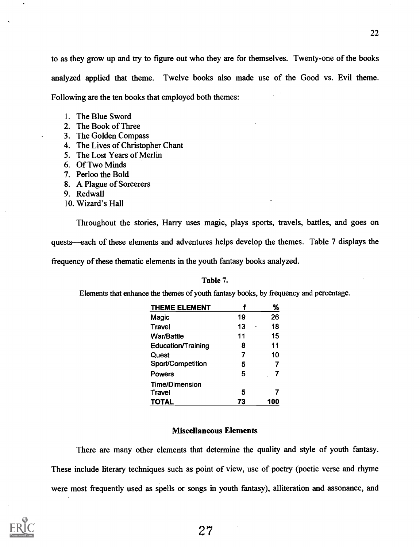to as they grow up and try to figure out who they are for themselves. Twenty-one of the books analyzed applied that theme. Twelve books also made use of the Good vs. Evil theme. Following are the ten books that employed both themes:

- 1. The Blue Sword
- 2. The Book of Three
- 3. The Golden Compass
- 4. The Lives of Christopher Chant
- 5. The Lost Years of Merlin
- 6. Of Two Minds
- 7. Perloo the Bold
- 8. A Plague of Sorcerers
- 9. Redwall
- 10. Wizard's Hall

Throughout the stories, Harry uses magic, plays sports, travels, battles, and goes on quests—each of these elements and adventures helps develop the themes. Table 7 displays the frequency of these thematic elements in the youth fantasy books analyzed.

#### Table 7.

Elements that enhance the themes of youth fantasy books, by frequency and percentage.

| <b>THEME ELEMENT</b>      |    | ℅   |
|---------------------------|----|-----|
| Magic                     | 19 | 26  |
| Travel                    | 13 | 18  |
| <b>War/Battle</b>         | 11 | 15  |
| <b>Education/Training</b> | 8  | 11  |
| Quest                     | 7  | 10  |
| Sport/Competition         | 5  |     |
| <b>Powers</b>             | 5  |     |
| <b>Time/Dimension</b>     |    |     |
| Travel                    | 5  |     |
| <b>TOTAL</b>              | 73 | 100 |

#### Miscellaneous Elements

There are many other elements that determine the quality and style of youth fantasy. These include literary techniques such as point of view, use of poetry (poetic verse and rhyme were most frequently used as spells or songs in youth fantasy), alliteration and assonance, and

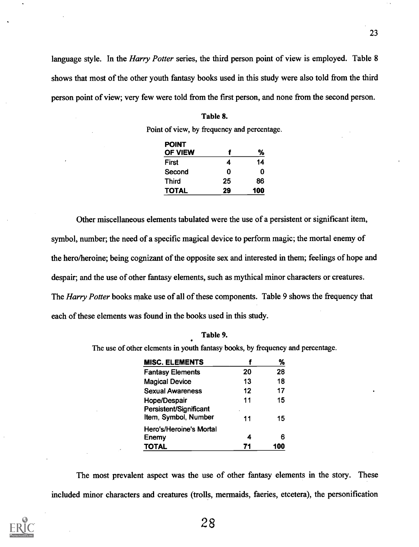language style. In the *Harry Potter* series, the third person point of view is employed. Table 8 shows that most of the other youth fantasy books used in this study were also told from the third person point of view; very few were told from the first person, and none from the second person.

#### Table 8.

Point of view, by frequency and percentage.

| <b>POINT</b><br>OF VIEW |    | ℅   |
|-------------------------|----|-----|
| First                   | 4  | 14  |
| Second                  | O  | n   |
| <b>Third</b>            | 25 | 86  |
| <b>TOTAL</b>            | 29 | 100 |

Other miscellaneous elements tabulated were the use of a persistent or significant item, symbol, number; the need of a specific magical device to perform magic; the mortal enemy of the hero/heroine; being cognizant of the opposite sex and interested in them; feelings of hope and despair; and the use of other fantasy elements, such as mythical minor characters or creatures. The Harry Potter books make use of all of these components. Table 9 shows the frequency that each of these elements was found in the books used in this study.

#### Table 9.

The use of other elements in youth fantasy books, by frequency and percentage.

| <b>MISC. ELEMENTS</b>                          |         | %   |
|------------------------------------------------|---------|-----|
| <b>Fantasy Elements</b>                        | 20      | 28  |
| <b>Magical Device</b>                          | 13      | 18  |
| <b>Sexual Awareness</b>                        | 12      | 17  |
| <b>Hope/Despair</b>                            | 11      | 15  |
| Persistent/Significant<br>Item, Symbol, Number | $\cdot$ |     |
|                                                | 11      | 15  |
| Hero's/Heroine's Mortal                        |         |     |
| Enemy                                          | 4       | 6   |
| <b>TOTAL</b>                                   | 71      | 100 |

The most prevalent aspect was the use of other fantasy elements in the story. These included minor characters and creatures (trolls, mermaids, faeries, etcetera), the personification

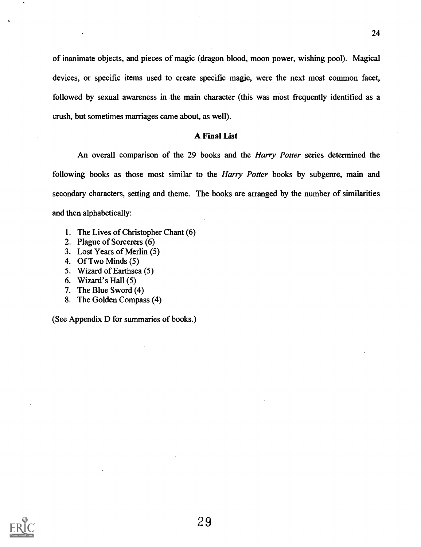of inanimate objects, and pieces of magic (dragon blood, moon power, wishing pool). Magical devices, or specific items used to create specific magic, were the next most common facet, followed by sexual awareness in the main character (this was most frequently identified as a crush, but sometimes marriages came about, as well).

#### A Final List

An overall comparison of the 29 books and the Harry Potter series determined the following books as those most similar to the *Harry Potter* books by subgenre, main and secondary characters, setting and theme. The books are arranged by the number of similarities and then alphabetically:

- 1. The Lives of Christopher Chant (6)
- 2. Plague of Sorcerers (6)
- 3. Lost Years of Merlin (5)
- 4. Of Two Minds (5)
- 5. Wizard of Earthsea (5)
- 6. Wizard's Hall (5)
- 7. The Blue Sword (4)
- 8. The Golden Compass (4)

(See Appendix D for summaries of books.)

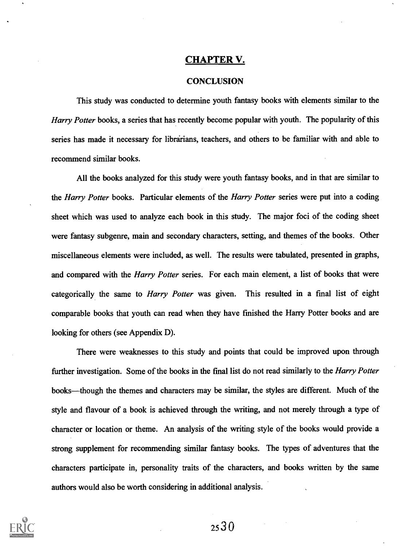#### CHAPTER V.

#### **CONCLUSION**

This study was conducted to determine youth fantasy books with elements similar to the Harry Potter books, a series that has recently become popular with youth. The popularity of this series has made it necessary for librarians, teachers, and others to be familiar with and able to recommend similar books.

All the books analyzed for this study were youth fantasy books, and in that are similar to the *Harry Potter* books. Particular elements of the *Harry Potter* series were put into a coding sheet which was used to analyze each book in this study. The major foci of the coding sheet were fantasy subgenre, main and secondary characters, setting, and themes of the books. Other miscellaneous elements were included, as well. The results were tabulated, presented in graphs, and compared with the *Harry Potter series*. For each main element, a list of books that were categorically the same to *Harry Potter* was given. This resulted in a final list of eight comparable books that youth can read when they have finished the Harry Potter books and are looking for others (see Appendix D).

There were weaknesses to this study and points that could be improved upon through further investigation. Some of the books in the final list do not read similarly to the *Harry Potter* books-though the themes and characters may be similar, the styles are different. Much of the style and flavour of a book is achieved through the writing, and not merely through a type of character or location or theme. An analysis of the writing style of the books would provide a strong supplement for recommending similar fantasy books. The types of adventures that the characters participate in, personality traits of the characters, and books written by the same authors would also be worth considering in additional analysis.

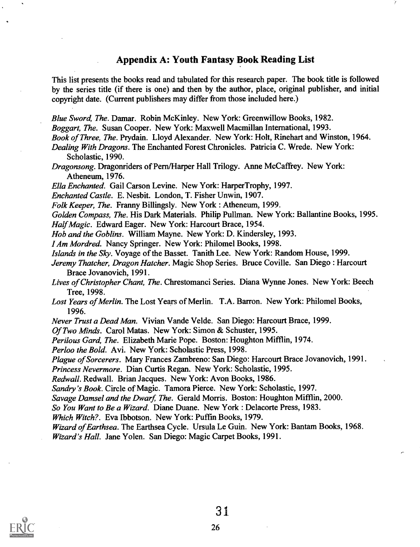## Appendix A: Youth Fantasy Book Reading List

This list presents the books read and tabulated for this research paper. The book title is followed by the series title (if there is one) and then by the author, place, original publisher, and initial copyright date. (Current publishers may differ from those included here.)

Blue Sword, The. Damar. Robin McKinley. New York: Greenwillow Books, 1982.

Boggart, The. Susan Cooper. New York: Maxwell Macmillan International, 1993.

Book of Three, The. Prydain. Lloyd Alexander. New York: Holt, Rinehart and Winston, 1964.

Dealing With Dragons. The Enchanted Forest Chronicles. Patricia C. Wrede. New York: Scholastic, 1990.

Dragonsong. Dragonriders of Pern/Harper Hall Trilogy. Anne McCaffrey. New York: Atheneum, 1976.

Ella Enchanted. Gail Carson Levine. New York: HarperTrophy, 1997.

Enchanted Castle. E. Nesbit. London, T. Fisher Unwin, 1907.

Folk Keeper, The. Franny Billingsly. New York : Atheneum, 1999.

Golden Compass, The. His Dark Materials. Philip Pullman. New York: Ballantine Books, 1995. Half Magic. Edward Eager. New York: Harcourt Brace, 1954.

Hob and the Goblins. William Mayne. New York: D. Kindersley, 1993.

I Am Mordred. Nancy Springer. New York: Philomel Books, 1998.

Islands in the Sky. Voyage of the Basset. Tanith Lee. New York: Random House, 1999.

Jeremy Thatcher, Dragon Hatcher. Magic Shop Series. Bruce Coville. San Diego : Harcourt Brace Jovanovich, 1991.

Lives of Christopher Chant, The. Chrestomanci Series. Diana Wynne Jones. New York: Beech Tree, 1998.

Lost Years of Merlin. The Lost Years of Merlin. T.A. Barron. New York: Philomel Books, 1996.

Never Trust a Dead Man. Vivian Vande Velde. San Diego: Harcourt Brace, 1999.

Of Two Minds. Carol Matas. New York: Simon & Schuster, 1995.

Perilous Gard, The. Elizabeth Marie Pope. Boston: Houghton Mifflin, 1974.

Perloo the Bold. Avi. New York: Scholastic Press, 1998.

Plague of Sorcerers. Mary Frances Zambreno: San Diego: Harcourt Brace Jovanovich, 1991.

Princess Nevermore. Dian Curtis Regan. New York: Scholastic, 1995.

Redwall. Redwall. Brian Jacques. New York: Avon Books, 1986.

Sandry's Book. Circle of Magic. Tamora Pierce. New York: Scholastic, 1997.

Savage Damsel and the Dwarf, The. Gerald Morris. Boston: Houghton Mifflin, 2000.

So You Want to Be a Wizard. Diane Duane. New York : Delacorte Press, 1983.

Which Witch?. Eva Ibbotson. New York: Puffin Books, 1979.

Wizard of Earthsea. The Earthsea Cycle. Ursula Le Guin. New York: Bantam Books, 1968. Wizard's Hall. Jane Yolen. San Diego: Magic Carpet Books, 1991.

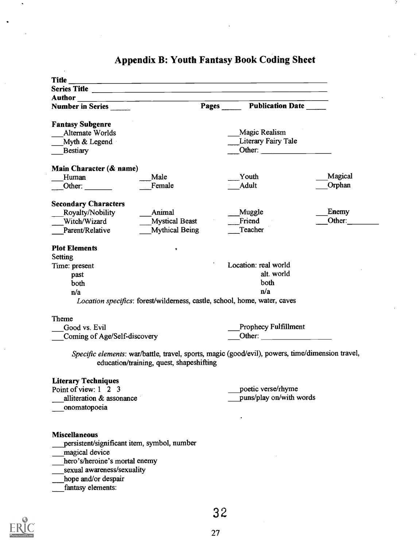| Author<br><u> 1980 - John Stone, Amerikaansk politiker (* 1901)</u>                              |                               |         |
|--------------------------------------------------------------------------------------------------|-------------------------------|---------|
| Number in Series                                                                                 | <b>Pages</b> Publication Date |         |
| <b>Fantasy Subgenre</b>                                                                          |                               |         |
| Alternate Worlds                                                                                 | Magic Realism                 |         |
| Myth & Legend                                                                                    | Literary Fairy Tale           |         |
| <b>Bestiary</b>                                                                                  |                               |         |
| Main Character (& name)                                                                          |                               |         |
| Male<br>Human                                                                                    | Youth                         | Magical |
| Female<br>Other:                                                                                 | Adult                         | Orphan  |
| <b>Secondary Characters</b>                                                                      |                               |         |
| Royalty/Nobility<br>Animal                                                                       | Muggle                        | Enemy   |
| Witch/Wizard<br><b>Mystical Beast</b>                                                            | Friend                        | Other:  |
| <b>Mythical Being</b><br>Parent/Relative                                                         | Teacher                       |         |
| <b>Plot Elements</b>                                                                             |                               |         |
| ۰<br><b>Setting</b>                                                                              |                               |         |
| Time: present                                                                                    | Location: real world          |         |
| past                                                                                             | alt. world                    |         |
| both                                                                                             | both                          |         |
| n/a                                                                                              | n/a                           |         |
| Location specifics: forest/wilderness, castle, school, home, water, caves                        |                               |         |
| Theme                                                                                            |                               |         |
| Good vs. Evil                                                                                    | Prophecy Fulfillment          |         |
| Coming of Age/Self-discovery                                                                     | Other:                        |         |
| Specific elements: war/battle, travel, sports, magic (good/evil), powers, time/dimension travel, |                               |         |
| education/training, quest, shapeshifting                                                         |                               |         |
| <b>Literary Techniques</b>                                                                       |                               |         |
| Point of view: 1 2 3                                                                             | poetic verse/rhyme            |         |
| alliteration & assonance                                                                         | puns/play on/with words       |         |
| onomatopoeia                                                                                     |                               |         |
|                                                                                                  |                               |         |
| <b>Miscellaneous</b>                                                                             |                               |         |
| persistent/significant item, symbol, number                                                      |                               |         |
| magical device                                                                                   |                               |         |
| hero's/heroine's mortal enemy                                                                    |                               |         |
| sexual awareness/sexuality                                                                       |                               |         |
| hope and/or despair                                                                              |                               |         |
| fantasy elements:                                                                                |                               |         |
|                                                                                                  |                               |         |
|                                                                                                  |                               |         |

# Appendix B: Youth Fantasy Book Coding Sheet

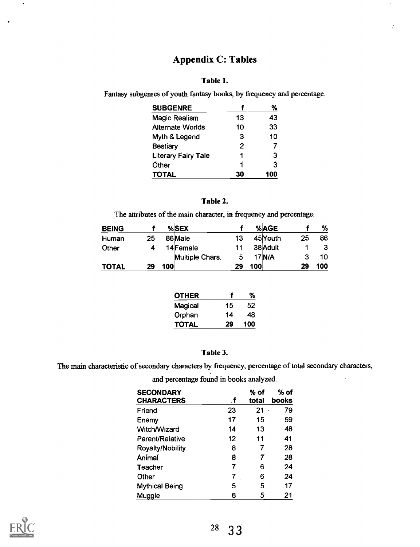## Appendix C: Tables

## Table 1.

Fantasy subgenres of youth fantasy books, by frequency and percentage.

| <b>SUBGENRE</b>            |    | %   |
|----------------------------|----|-----|
| <b>Magic Realism</b>       | 13 | 43  |
| <b>Alternate Worlds</b>    | 10 | 33  |
| Myth & Legend              | 3  | 10  |
| <b>Bestiary</b>            | 2  |     |
| <b>Literary Fairy Tale</b> | 1  | з   |
| Other                      | 1  | 3   |
| <b>TOTAL</b>               | 30 | 100 |

## Table 2.

The attributes of the main character, in frequency and percentage.

| <b>BEING</b> |    |     | %SEX            |    |     | %AGE       |    | %   |
|--------------|----|-----|-----------------|----|-----|------------|----|-----|
| Human        | 25 |     | 86 Male         | 13 |     | 45Youth    | 25 | 86  |
| Other        |    |     | 14 Female       | 11 |     | 38 Adult   |    |     |
|              |    |     | Multiple Chars. | 5  |     | $17$ $N/A$ |    | 10  |
| TOTAL        | 29 | 100 |                 | 29 | 100 |            | 29 | 100 |

| <b>OTHER</b> |    | %   |
|--------------|----|-----|
| Magical      | 15 | 52  |
| Orphan       | 14 | 48  |
| <b>TOTAL</b> | 29 | 100 |

## Table 3.

The main characteristic of secondary characters by frequency, percentage of total secondary characters,

| <b>SECONDARY</b>        |                   | $%$ of | % of  |
|-------------------------|-------------------|--------|-------|
| CHARACTERS              | f,                | total  | books |
| Friend                  | 23                | 21     | 79    |
| Enemy                   | 17                | 15     | 59    |
| Witch/Wizard            | 14                | 13     | 48    |
| Parent/Relative         | $12 \overline{ }$ | 11     | 41    |
| <b>Royalty/Nobility</b> | 8                 |        | 28    |
| Ánímal                  | 8                 | 7      | 28    |
| Teacher                 | 7                 | 6      | 24    |
| Other                   |                   | 6      | 24    |
| <b>Mythical Being</b>   | 5                 | 5      | 17    |
| Muggle                  | 6                 | 5      | 21    |

and percentage found in books analyzed.

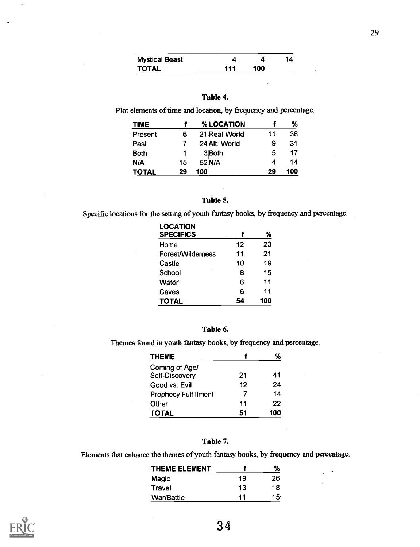| <b>Mystical Beast</b> |     |     | 14 |  |
|-----------------------|-----|-----|----|--|
| TOTAL                 | 111 | 100 |    |  |

#### Table 4.

Plot elements of time and location, by frequency and percentage.

| <b>TIME</b>  |    |        | %LOCATION     |    | %   |
|--------------|----|--------|---------------|----|-----|
| Present      | 6  |        | 21 Real World | 11 | 38  |
| Past         |    |        | 24 Alt. World | 9  | 31  |
| <b>Both</b>  |    |        | 3 <b>Both</b> | 5  | 17  |
| N/A          | 15 | 52 N/A |               |    | 14  |
| <b>TOTAL</b> | 29 | 100    |               | 29 | 100 |

#### Table 5.

 $\mathbb{Z}_2$ 

Specific locations for the setting of youth fantasy books, by frequency and percentage.

| <b>LOCATION</b><br><b>SPECIFICS</b> |    | %   |
|-------------------------------------|----|-----|
| Home                                | 12 | 23  |
| Forest/Wildemess                    | 11 | 21  |
| Castle                              | 10 | 19  |
| School                              | 8  | 15  |
| Water                               | 6  | 11  |
| Caves                               | 6  | 11  |
| <b>TOTAL</b>                        | 54 | 100 |

#### Table 6.

Themes found in youth fantasy books, by frequency and percentage.

| <b>THEME</b>                |    | %   |
|-----------------------------|----|-----|
| Coming of Age/              |    |     |
| Self-Discovery              | 21 | 41  |
| Good vs. Evil               | 12 | 24  |
| <b>Prophecy Fulfillment</b> |    | 14  |
| Other                       | 11 | 22  |
| <b>TOTAL</b>                | 51 | 100 |

#### Table 7.

Elements that enhance the themes of youth fantasy books, by frequency and percentage.

| <b>THEME ELEMENT</b> |    | ℅   |
|----------------------|----|-----|
| Magic                | 19 | 26  |
| Travel               | 13 | 18  |
| <b>War/Battle</b>    | 11 | 15· |



 $\mathbb{I}$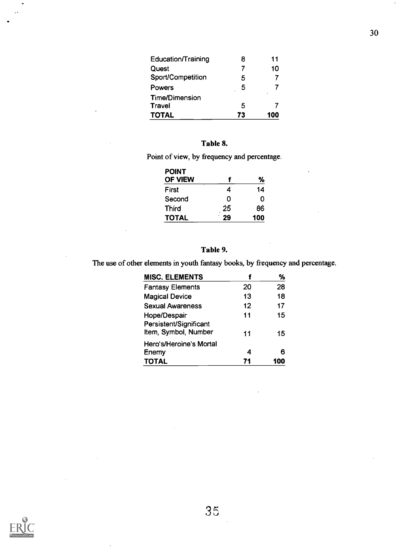| <b>Education/Training</b> |    | 11  |  |
|---------------------------|----|-----|--|
| Quest                     |    | 10  |  |
| Sport/Competition         | 5  |     |  |
| Powers                    | 5  |     |  |
| <b>Time/Dimension</b>     |    |     |  |
| Travel                    | 5  |     |  |
| <b>TOTAL</b>              | 73 | 100 |  |

## Table 8.

Point of view, by frequency and percentage.

| <b>POINT</b>   |    |     |
|----------------|----|-----|
| <b>OF VIEW</b> |    | %   |
| First          | 4  | 14  |
| Second         | Ω  | O   |
| <b>Third</b>   | 25 | 86  |
| <b>TOTAL</b>   | 29 | 100 |

## Table 9.

The use of other elements in youth fantasy books, by frequency and percentage.

| <b>MISC. ELEMENTS</b>                          |                   | %   |
|------------------------------------------------|-------------------|-----|
| <b>Fantasy Elements</b>                        | 20                | 28  |
| <b>Magical Device</b>                          | 13                | 18  |
| <b>Sexual Awareness</b>                        | $12 \overline{ }$ | 17  |
| Hope/Despair                                   | 11                | 15  |
| Persistent/Significant<br>Item, Symbol, Number | 11                | 15  |
| Hero's/Heroine's Mortal                        |                   |     |
| Enemy                                          | 4                 | 6   |
| <b>TOTAL</b>                                   | 71                | 100 |

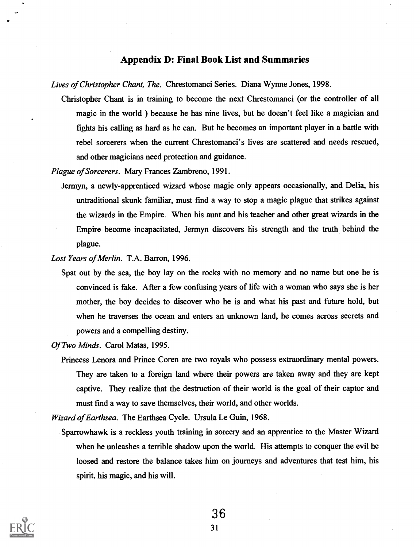## Appendix D: Final Book List and Summaries

Lives of Christopher Chant, The. Chrestomanci Series. Diana Wynne Jones, 1998.

Christopher Chant is in training to become the next Chrestomanci (or the controller of all magic in the world ) because he has nine lives, but he doesn't feel like a magician and fights his calling as hard as he can. But he becomes an important player in a battle with rebel sorcerers when the current Chrestomanci's lives are scattered and needs rescued, and other magicians need protection and guidance.

Plague of Sorcerers. Mary Frances Zambreno, 1991.

Jermyn, a newly-apprenticed wizard whose magic only appears occasionally, and Delia, his untraditional skunk familiar, must fmd a way to stop a magic plague that strikes against the wizards in the Empire. When his aunt and his teacher and other great wizards in the Empire become incapacitated, Jermyn discovers his strength and the truth behind the plague.

Lost Years of Merlin. T.A. Barron, 1996.

Spat out by the sea, the boy lay on the rocks with no memory and no name but one he is convinced is fake. After a few confusing years of life with a woman who says she is her mother, the boy decides to discover who he is and what his past and future hold, but when he traverses the ocean and enters an unknown land, he comes across secrets and powers and a compelling destiny.

Of Two Minds. Carol Matas, 1995.

Princess Lenora and Prince Coren are two royals who possess extraordinary mental powers. They are taken to a foreign land where their powers are taken away and they are kept captive. They realize that the destruction of their world is the goal of their captor and must fmd a way to save themselves, their world, and other worlds.

Wizard of Earthsea. The Earthsea Cycle. Ursula Le Guin, 1968.

Sparrowhawk is a reckless youth training in sorcery and an apprentice to the Master Wizard when he unleashes a terrible shadow upon the world. His attempts to conquer the evil he loosed and restore the balance takes him on journeys and adventures that test him, his spirit, his magic, and his will.

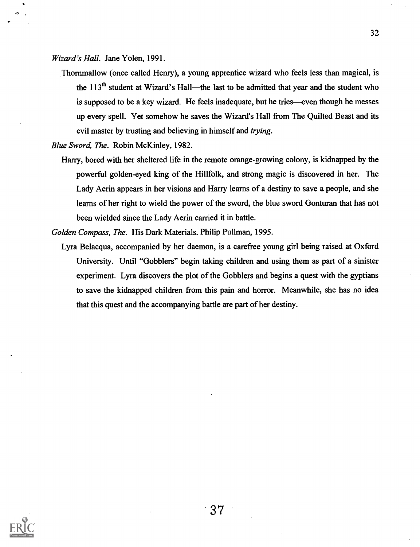Wizard's Hall. Jane Yolen, 1991.

- Thornmallow (once called Henry), a young apprentice wizard who feels less than magical, is the  $113<sup>th</sup>$  student at Wizard's Hall—the last to be admitted that year and the student who is supposed to be a key wizard. He feels inadequate, but he tries—even though he messes up every spell. Yet somehow he saves the Wizard's Hall from The Quilted Beast and its evil master by trusting and believing in himself and *trying*.
- Blue Sword, The. Robin McKinley, 1982.
	- Harry, bored with her sheltered life in the remote orange-growing colony, is kidnapped by the powerful golden-eyed king of the Hillfolk, and strong magic is discovered in her. The Lady Aerin appears in her visions and Harry learns of a destiny to save a people, and she learns of her right to wield the power of the sword, the blue sword Gonturan that has not been wielded since the Lady Aerin carried it in battle.

Golden Compass, The. His Dark Materials. Philip Pullman, 1995.

Lyra Belacqua, accompanied by her daemon, is a carefree young girl being raised at Oxford University. Until "Gobblers" begin taking children and using them as part of a sinister experiment. Lyra discovers the plot of the Gobblers and begins a quest with the gyptians to save the kidnapped children from this pain and horror. Meanwhile, she has no idea that this quest and the accompanying battle are part of her destiny.

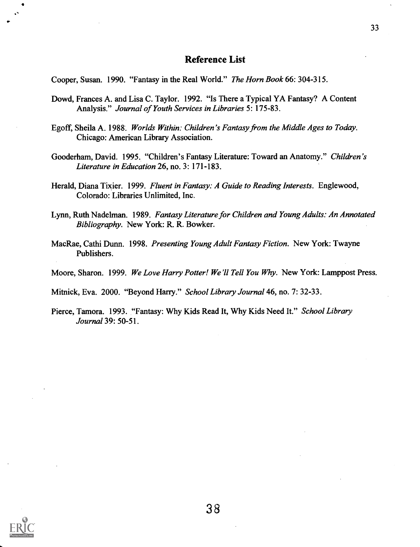## Reference List

Cooper, Susan. 1990. "Fantasy in the Real World." The Horn Book 66: 304-315.

- Dowd, Frances A. and Lisa C. Taylor. 1992. "Is There a Typical YA Fantasy? A Content Analysis." Journal of Youth Services in Libraries 5: 175-83.
- Egoff, Sheila A. 1988. Worlds Within: Children's Fantasy from the Middle Ages to Today. Chicago: American Library Association.
- Gooderham, David. 1995. "Children's Fantasy Literature: Toward an Anatomy." Children's Literature in Education 26, no. 3: 171-183.
- Herald, Diana Tixier. 1999. Fluent in Fantasy: A Guide to Reading Interests. Englewood, Colorado: Libraries Unlimited, Inc.
- Lynn, Ruth Nadelman. 1989. Fantasy Literature for Children and Young Adults: An Annotated Bibliography. New York: R. R. Bowker.
- MacRae, Cathi Dunn. 1998. Presenting Young Adult Fantasy Fiction. New York: Twayne Publishers.
- Moore, Sharon. 1999. We Love Harry Potter! We'll Tell You Why. New York: Lamppost Press.

Mitnick, Eva. 2000. "Beyond Harry." School Library Journal 46, no. 7: 32-33.

Pierce, Tamora. 1993. "Fantasy: Why Kids Read It, Why Kids Need It." School Library Journal 39: 50-51.